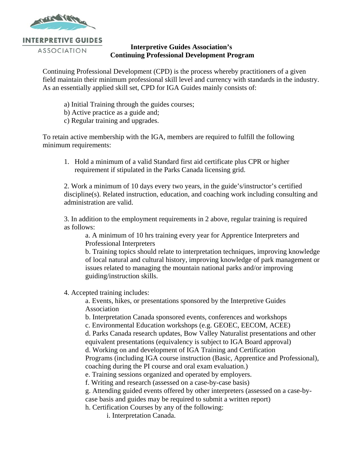

## **Interpretive Guides Association's Continuing Professional Development Program**

Continuing Professional Development (CPD) is the process whereby practitioners of a given field maintain their minimum professional skill level and currency with standards in the industry. As an essentially applied skill set, CPD for IGA Guides mainly consists of:

- a) Initial Training through the guides courses;
- b) Active practice as a guide and;
- c) Regular training and upgrades.

To retain active membership with the IGA, members are required to fulfill the following minimum requirements:

1. Hold a minimum of a valid Standard first aid certificate plus CPR or higher requirement if stipulated in the Parks Canada licensing grid.

2. Work a minimum of 10 days every two years, in the guide's/instructor's certified discipline(s). Related instruction, education, and coaching work including consulting and administration are valid.

3. In addition to the employment requirements in 2 above, regular training is required as follows:

a. A minimum of 10 hrs training every year for Apprentice Interpreters and Professional Interpreters

b. Training topics should relate to interpretation techniques, improving knowledge of local natural and cultural history, improving knowledge of park management or issues related to managing the mountain national parks and/or improving guiding/instruction skills.

4. Accepted training includes:

a. Events, hikes, or presentations sponsored by the Interpretive Guides Association

b. Interpretation Canada sponsored events, conferences and workshops

c. Environmental Education workshops (e.g. GEOEC, EECOM, ACEE)

d. Parks Canada research updates, Bow Valley Naturalist presentations and other equivalent presentations (equivalency is subject to IGA Board approval)

d. Working on and development of IGA Training and Certification

Programs (including IGA course instruction (Basic, Apprentice and Professional), coaching during the PI course and oral exam evaluation.)

e. Training sessions organized and operated by employers.

f. Writing and research (assessed on a case-by-case basis)

g. Attending guided events offered by other interpreters (assessed on a case-by-

case basis and guides may be required to submit a written report)

h. Certification Courses by any of the following:

i. Interpretation Canada.